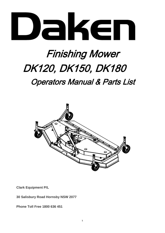

# Finishing Mower DK120, DK150, DK180

Operators Manual & Parts List



**Clark Equipment P/L**

**30 Salisbury Road Hornsby NSW 2077**

**Phone Toll Free 1800 636 451**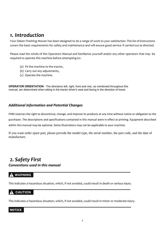# *1. Introduction*

Your Daken Finishing Mower has been designed to do a range of work to your satisfaction. This list of instructions covers the basic requirements for safety and maintenance and will ensure good service if carried out as directed.

Please read the whole of this Operators Manual and familiarize yourself and/or any other operators that may be required to operate this machine before attempting to:-

- (a) Fit the machine to the tractor,
- (b) Carry out any adjustments,
- (c) Operate the machine.

**OPERATOR ORIENTATION** - The directions left, right, front and rear, as mentioned throughout this manual, are determined when sitting in the tractor driver's seat and facing in the direction of travel.

# *Additional Information and Potential Changes*

FHM reserves the right to discontinue, change, and improve its products at any time without notice or obligation to the purchaser. The descriptions and specifications contained in this manual were in effect at printing. Equipment described within this manual may be optional. Some illustrations may not be applicable to your machine.

If you want order spare part, please provide the model type, the serial number, the part code, and the date of manufacture.

# *2. Safety First Conventions used in this manual*

# **WARNING**

This indicates a hazardous situation, which, if not avoided, could result in death or serious injury.

# **CAUTION**

This indicates a hazardous situation, which, if not avoided, could result in minor or moderate injury.

## **NOTICE**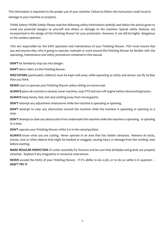This information is important in the proper use of your machine. Failure to follow this instruction could result in damage to your machine or property.

THINK Safety! WORK Safely! Please read the following safety information carefully and follow the advice given to avoid any potential dangers to yourself and others or damage to the machine. Special safety features are incorporated in the design of the Finishing Mower for your protection. However, it can still be highly dangerous to the careless operator.

YOU are responsible for the SAFE operation and maintenance of your Finishing Mower. YOU must ensure that you and anyone else, who is going to operate, maintain or work around the Finishing Mower be familiar with the operating, maintenance and safety procedures contained in this manual.

**DON'T** let familiarity trap you into danger.

**DON'T** allow riders on the Finishing Mower.

**SPECTATORS** (particularly children) must be kept well away while operating as sticks and stones can fly further than you think.

**NEVER** start or operate your Finishing Mower unless sitting on tractorseat.

**ALWAYS** place all controls in neutral, lower machine, stop PTO and turn off engine before dismountingtractor.

**ALWAYS** keep hands, feet, hair and clothing away from movingparts.

**DON'T** attempt any adjustment whatsoever while the machine is operating or spinning.

**DON'T** attempt to clear any obstruction around the machine while the machine is operating or spinning to a stop.

**DON'T** attempt to clear any obstruction from underneath the machine while the machine is operating or spinning to a stop.

**DON'T** operate your Finishing Mower whilst it is in the raised position.

**ALWAYS** know what you are cutting. Never operate in an area that has hidden obstacles. Remove all sticks, stones, wire or other objects that might be hooked or snagged, causing injury or damage from the working area before starting.

**MAKE REGULAR INSPECTION** of cutter assembly for fracture and be sure that all blades and guards are properly attached. Replace if any irregularity or excessive wearshows.

**NEVER** exceed the limits of your Finishing Mower. If it's ability to do a job, or to do so safely is in question – **DON'T TRY IT**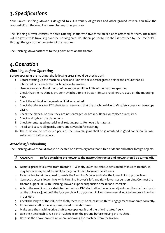# *3. Specifications*

Your Daken Finishing Mower is designed to cut a variety of grasses and other ground covers. You take the responsibility if the machine is used for any other purpose.

The Finishing Mower consists of three rotating shafts with five three steel blades attached to them. The blades cut the grass while travelling over the working area. Rotational power to the shaft is provided by the tractor PTO through the gearbox in the center of themachine.

The Finishing Mower attaches to the 3 point hitch on the tractor.

# *4.Operation*

# *Checking before Operating*

Before operating the machine, the following areas should be checkedoff:

- 1 Before starting up the machine, check and lubricate all external grease points and ensure that all lubricated parts inside the machine have been oiled.
- 2 Use only an agricultural tractor of horsepower within limits of the machine specified.
- 3 Check that the machine is properly attached to the tractor. Be sure retainers are used on the mounting pins.
- 4 Check the oil level in the gearbox. Add as required.
- 5 Check that the tractor PTO shaft turns freely and that the machine drive shaft safety cover can telescope easily.
- 6 Check the blades. Be sure they are not damaged or broken. Repair or replace as required.
- 7 Check and tighten the blade bolts.
- 8 Check for entangled material in all rotating parts. Remove this material.
- 9 Install and secure all guards, doors and covers before starting.
- 10 The chain on the protective parts of the universal joint shall be guaranteed in good condition, in case, automatic rotation occurs.

# *Attaching / Unhooking*

The Finishing Mower should always be located on a level, dry area that is free of debris and other foreign objects.

#### **CAUTION: Before attaching the mower to the tractor, the tractor and mower should be turned off.**

- 1. Remove protective cover from tractor's PTO shaft, lower link and suspension mechanics of tractor. It may be necessary to add weight to the 3 point hitch to lower the lift arms.
- 2. Reverse tractor at low speed towards the Finishing Mower and raise the lower links to properlevel.
- 3. Connect tractor's lower links with Finishing Mower's left and right lower suspension pins. Connect the tractor's upper link with Finishing Mower's upper suspension bracket and insertpin.
- 4. Attach the machine drive shaft to the tractor's PTO shaft, slide the universal joint over the shaft and push on the universal joint until the lock pin clicks into position. Pull on the universal joint to be sure it is locked in position.
- 5. Check the length of the PTO drive shaft, there must be at least two thirds engagement to operate correctly.
- 6. If the drive shaft is too long it may need to be shortened.
- 7. Make sure the machine drive shaft telescopes easily and the shield rotates freely.
- 8. Use the 3 pint hitch to raise the machine from the ground before moving the machine.
- 4 9. Reverse the above procedure when unhooking the machine from the tractor.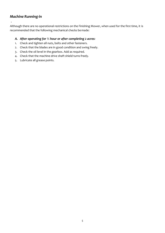# *Machine Running-in*

.

Although there are no operational restrictions on the Finishing Mower, when used for the first time, it is recommended that the following mechanical checks bemade:

#### *A. After operating for ½ hour or after completing 2 acres:*

- 1. Check and tighten all nuts, bolts and other fasteners.
- 2. Check that the blades are in good condition and swing freely.
- 3. Check the oil level in the gearbox. Add as required.
- 4. Check that the machine drive shaft shield turns freely.
- 5. Lubricate all grease points.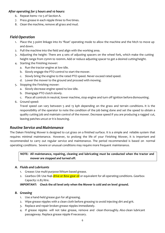### *After operating for 5 hours and 10 hours:*

- 6. Repeat items 1 to 5 of Section A.
- 7. Press grease in each nipple three to five times.
- 8. Clean the machine, remove all grass and mud.

# *Field Operation*

- 1. Place the 3 point linkage into its 'float' operating mode to allow the machine and the hitch to move up and down.
- 2. Pull the machine into the field and align with the working area.
- 3. Adjusting the height: There are 4 sets of adjusting spacers on the wheel fork, which make the cutting height range from 25mm to 100mm. Add or reduce adjusting spacer to get a desired cuttingheight.
- 4. Starting the Finishing mower:
	- a. Run the tractor engine at low idle.
	- b. Slowly engage the PTO control to start the mower.
	- c. Slowly bring the engine to the rated PTO speed. Never exceed rated speed.
	- d. Lower the mower to the ground and proceed with mowing.
- 5. Stopping the Finishing mower:
	- a. Slowly decrease engine speed to low idle.
	- b. Disengage PTO clutch slowly.
	- c. Place all controls in neutral, lower machine, stop engine and turn off ignition before dismounting.
- 6. Ground speed:

Travel speed can vary between 5 and 13 kph depending on the grass and terrain conditions. It is the responsibility of the operator to note the condition of the job being done and set the speed to obtain a quality cutting job and maintain control of the mower. Decrease speed if you are producing a ragged cut, leaving patches uncut or it is bouncing.

## *Routine Service and Maintenance*

The Daken Finishing Mower is designed to cut grass on a finished surface. It is a simple and reliable system that requires minimal maintenance. However, to prolong the life of your Finishing Mower, it is important and recommended to carry out regular service and maintenance. The period recommended is based on normal operating conditions. Severe or unusual conditions may require more frequent maintenance.

### **NOTE: All maintenance, repairing, cleaning and lubricating must be conducted when the tractor and mower are stopped and turned off.**

#### *A. Fluids and Lubricants*

- 1. Grease: Use multi-purpose lithium based grease.
- 2. Gearbox Oil: Use N46 drive or 80w gear oil or equivalent for all operating conditions. Gearbox Capacity: 0.85 litre.

#### **IMPORTANT: Check the oil level only when the Mower is cold and on level ground.**

#### *B. Greasing*

- 1. Use a hand-held grease gun for all greasing.
- 2. Wipe grease nipples with a clean cloth before greasing to avoid injecting dirt and grit.
- 3. Replace and repair broken grease nipples immediately.
- 4. If grease nipples will not take grease, remove and clean thoroughly. Also clean lubricant passageway. Replace grease nipple if necessary.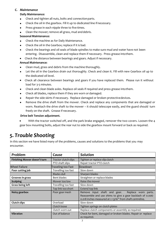## *C. Maintenance*

### **Daily Maintenance:**

- Check and tighten all nuts, bolts and connectionparts.
- Check the oil in the gearbox. Fill it up to dedicated line ifnecessary.
- Press grease in each nipple three to five times.
- Clean the mower; remove all grass, mud and debris.

## **Seasonal Maintenance:**

- Check the machine as for Daily Maintenance.
- Check the oil in the Gearbox; replace if it is bad.
- Check the bearings and oil seals of blade spindles to make sure mud and water have not been  $\bullet$ entering. Disassemble, clean and replace them if necessary. Press grease intothem.
- $\bullet$ Check the distance between bearings and gears. Adjust if necessary.

## **Annual Maintenance:**

- Clean mud, grass and debris from the machine thoroughly.  $\bullet$
- Let the oil in the Gearbox drain out thoroughly. Check and clean it. Fill with new Gearbox oil up to  $\bullet$ the dedicated oil level.
- Check all clearance between bearings and gears if you have replaced them. Please run it without  $\bullet$ load for 3-5 minutes.
- Check and clean blade axles. Replace oil seals if required and press grease intothem.  $\bullet$
- Check all blades, replace them if they are worn or damaged.
- Repair the side skirts if necessary. Replace damaged or broken protectivedevices.  $\bullet$
- Remove the drive shaft from the mower. Check and replace any components that are damaged or worn. Reattach the drive shaft to the mower – it should telescope easily, and the guard should turn freely on the shaft. Grease if necessary.

#### **Drive belt Tension adjustment.**

• With the tractor switched off, and the park brake engaged, remover the two covers. Loosen the 4 gear box mounting bolts, adjust the rear nut to side the gearbox mount forward or back as required.

# *5. Trouble Shooting*

In this section we have listed many of the problems, causes and solutions to the problems that you may encounter.

| Problem                      | Cause                     | Solution                                                                                                                                                                      |  |  |
|------------------------------|---------------------------|-------------------------------------------------------------------------------------------------------------------------------------------------------------------------------|--|--|
| Finishing Mower doesn't turn | Tractor clutch slips      | Tighten or replace slip clutch                                                                                                                                                |  |  |
|                              | PTO shaft slips           | Repair tractor PTO clutch                                                                                                                                                     |  |  |
| <b>Wheel Failure</b>         | <b>Traveling too Fast</b> | Slowdown                                                                                                                                                                      |  |  |
| Poor cutting job             | Travelling too fast       | Slow down                                                                                                                                                                     |  |  |
|                              | <b>Blades dull</b>        | Sharpen blades                                                                                                                                                                |  |  |
| Grooves in grass             | Bent blades               | Straighten or replace blades                                                                                                                                                  |  |  |
| <b>Scalping</b>              | Mower too low             | Raise the mower                                                                                                                                                               |  |  |
| <b>Grass being left</b>      | Travelling too fast       | Slow down                                                                                                                                                                     |  |  |
|                              | Top link too short        | Extend top link                                                                                                                                                               |  |  |
| Noisy gearbox                | Poor gear mesh            | Remove input shaft and gear.<br>Replace worn parts.<br>Reassemble and use shims to give a gear backlash of 0.006-<br>0.018 inches measured at 2 13/16" from shaft centreline. |  |  |
| <b>Clutch slips</b>          | Overload                  | Slow down                                                                                                                                                                     |  |  |
|                              | Clutch loose              | Tighten springs on clutch plates                                                                                                                                              |  |  |
|                              | Clutch worn out           | Replace clutch components or assembly as required.                                                                                                                            |  |  |
| <b>Vibration</b>             | Out of balance            | Check for bent, damaged or broken blades. Repair or replace<br>as required.                                                                                                   |  |  |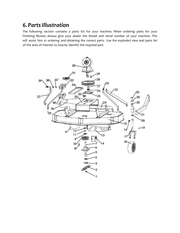# *6.PartsIllustration*

The following section contains a parts list for your machine. When ordering parts for your Finishing Mower, always give your dealer the Model and Serial number of your machine. This will assist him in ordering and obtaining the correct parts. Use the exploded view and parts list of the area of interest to exactly identify the required part.